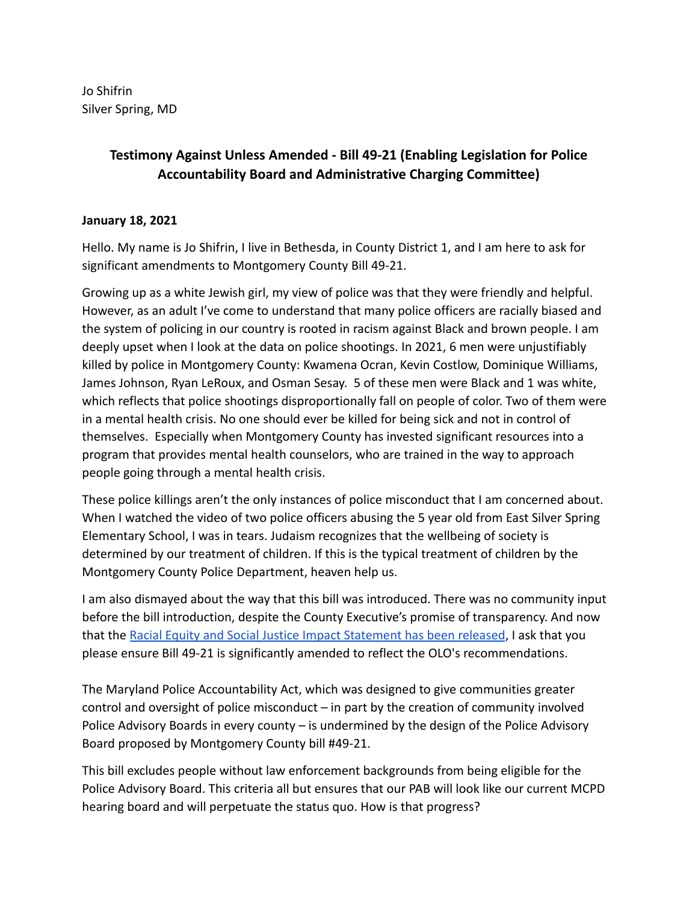Jo Shifrin Silver Spring, MD

## **Testimony Against Unless Amended - Bill 49-21 (Enabling Legislation for Police Accountability Board and Administrative Charging Committee)**

## **January 18, 2021**

Hello. My name is Jo Shifrin, I live in Bethesda, in County District 1, and I am here to ask for significant amendments to Montgomery County Bill 49-21.

Growing up as a white Jewish girl, my view of police was that they were friendly and helpful. However, as an adult I've come to understand that many police officers are racially biased and the system of policing in our country is rooted in racism against Black and brown people. I am deeply upset when I look at the data on police shootings. In 2021, 6 men were unjustifiably killed by police in Montgomery County: Kwamena Ocran, Kevin Costlow, Dominique Williams, James Johnson, Ryan LeRoux, and Osman Sesay. 5 of these men were Black and 1 was white, which reflects that police shootings disproportionally fall on people of color. Two of them were in a mental health crisis. No one should ever be killed for being sick and not in control of themselves. Especially when Montgomery County has invested significant resources into a program that provides mental health counselors, who are trained in the way to approach people going through a mental health crisis.

These police killings aren't the only instances of police misconduct that I am concerned about. When I watched the video of two police officers abusing the 5 year old from East Silver Spring Elementary School, I was in tears. Judaism recognizes that the wellbeing of society is determined by our treatment of children. If this is the typical treatment of children by the Montgomery County Police Department, heaven help us.

I am also dismayed about the way that this bill was introduced. There was no community input before the bill introduction, despite the County Executive's promise of transparency. And now that the [Racial Equity and Social Justice Impact Statement](https://www.montgomerycountymd.gov/OLO/Resources/Files/resjis/2022/Bill49-21.pdf) has been released, I ask that you please ensure Bill 49-21 is significantly amended to reflect the OLO's recommendations.

The Maryland Police Accountability Act, which was designed to give communities greater control and oversight of police misconduct – in part by the creation of community involved Police Advisory Boards in every county – is undermined by the design of the Police Advisory Board proposed by Montgomery County bill #49-21.

This bill excludes people without law enforcement backgrounds from being eligible for the Police Advisory Board. This criteria all but ensures that our PAB will look like our current MCPD hearing board and will perpetuate the status quo. How is that progress?